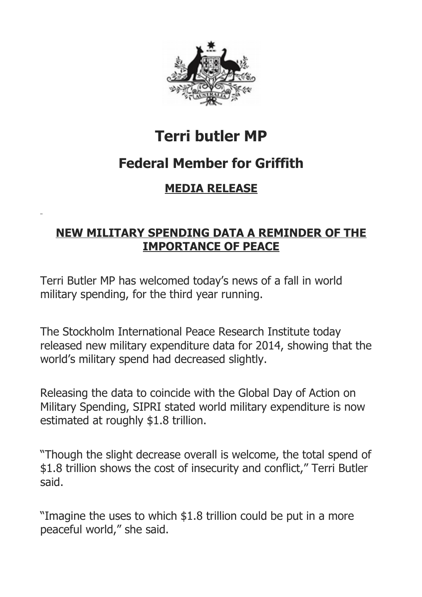

# **Terri butler MP**

# **Federal Member for Griffith**

## **MEDIA RELEASE**

## **NEW MILITARY SPENDING DATA A REMINDER OF THE IMPORTANCE OF PEACE**

Terri Butler MP has welcomed today's news of a fall in world military spending, for the third year running.

The Stockholm International Peace Research Institute today released new military expenditure data for 2014, showing that the world's military spend had decreased slightly.

Releasing the data to coincide with the Global Day of Action on Military Spending, SIPRI stated world military expenditure is now estimated at roughly \$1.8 trillion.

"Though the slight decrease overall is welcome, the total spend of \$1.8 trillion shows the cost of insecurity and conflict," Terri Butler said.

"Imagine the uses to which \$1.8 trillion could be put in a more peaceful world," she said.